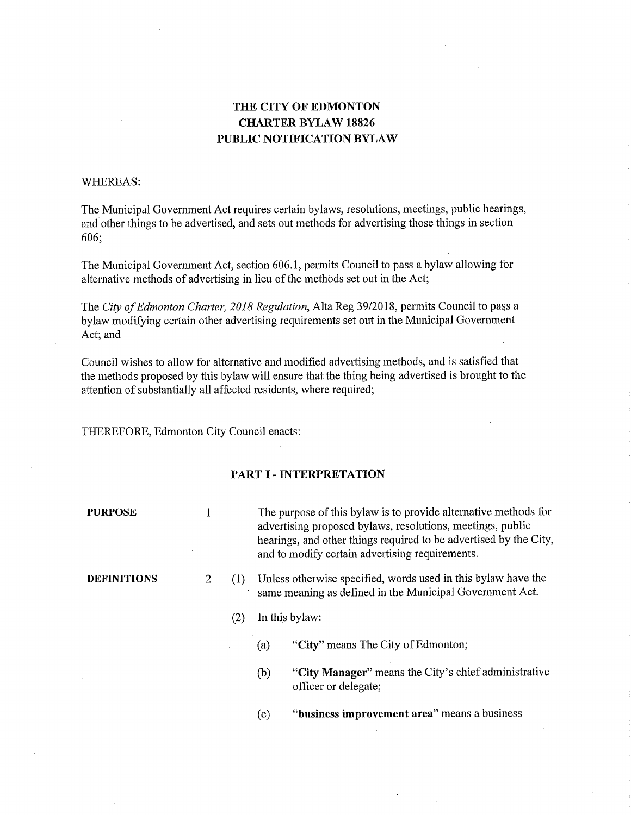# THE CITY OF EDMONTON CHARTER BYLAW 18826 PUBLIC NOTIFICATION BYLAW

### WHEREAS:

The Municipal Government Act requires certain bylaws, resolutions, meetings, public hearings, and other things to be advertised, and sets out methods for advertising those things in section 606;

The Municipal Government Act, section 606.1, permits Council to pass a bylaw allowing for alternative methods of advertising in lieu of the methods set out in the Act;

The *City of Edmonton Charter, 2018 Regulation,* Alta Reg 39/2018, permits Council to pass a bylaw modifying certain other advertising requirements set out in the Municipal Government Act; and

Council wishes to allow for alternative and modified advertising methods, and is satisfied that the methods proposed by this bylaw will ensure that the thing being advertised is brought to the attention of substantially all affected residents, where required;

THEREFORE, Edmonton City Council enacts:

### PART I - INTERPRETATION

| <b>PURPOSE</b>     |                |     | The purpose of this bylaw is to provide alternative methods for<br>advertising proposed bylaws, resolutions, meetings, public<br>hearings, and other things required to be advertised by the City,<br>and to modify certain advertising requirements. |                                                                              |  |  |  |
|--------------------|----------------|-----|-------------------------------------------------------------------------------------------------------------------------------------------------------------------------------------------------------------------------------------------------------|------------------------------------------------------------------------------|--|--|--|
| <b>DEFINITIONS</b> | $\overline{2}$ | (1) | Unless otherwise specified, words used in this bylaw have the<br>same meaning as defined in the Municipal Government Act.                                                                                                                             |                                                                              |  |  |  |
|                    |                | (2) | In this bylaw:                                                                                                                                                                                                                                        |                                                                              |  |  |  |
|                    |                |     | (a)                                                                                                                                                                                                                                                   | "City" means The City of Edmonton;                                           |  |  |  |
|                    |                |     | (b)                                                                                                                                                                                                                                                   | "City Manager" means the City's chief administrative<br>officer or delegate; |  |  |  |
|                    |                |     | (c)                                                                                                                                                                                                                                                   | "business improvement area" means a business                                 |  |  |  |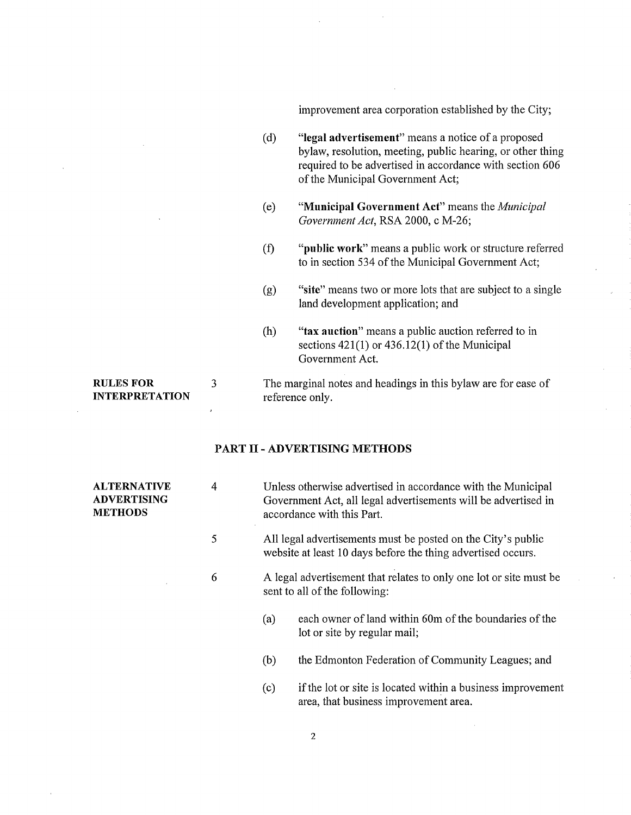improvement area corporation established by the City;

- (d) "legal advertisement" means a notice of a proposed bylaw, resolution, meeting, public hearing, or other thing required to be advertised in accordance with section 606 of the Municipal Government Act;
- (e) "Municipal Government Act" means the *Municipal Government Act,* RSA 2000, c M-26;
- (f) "public work" means a public work or structure referred to in section 534 of the Municipal Government Act;
- (g) "site" means two or more lots that are subject to a single land development application; and
- (h) "tax auction" means a public auction referred to in sections 421(1) or 436.12(1) of the Municipal Government Act.

## RULES FOR 3 The marginal notes and headings in this bylaw are for ease of INTERPRETATION reference only.

### PART II- ADVERTISING METHODS

| <b>ALTERNATIVE</b><br><b>ADVERTISING</b><br><b>METHODS</b> | 4 | Unless otherwise advertised in accordance with the Municipal<br>Government Act, all legal advertisements will be advertised in<br>accordance with this Part.<br>All legal advertisements must be posted on the City's public<br>website at least 10 days before the thing advertised occurs.<br>A legal advertisement that relates to only one lot or site must be<br>sent to all of the following: |  |  |  |
|------------------------------------------------------------|---|-----------------------------------------------------------------------------------------------------------------------------------------------------------------------------------------------------------------------------------------------------------------------------------------------------------------------------------------------------------------------------------------------------|--|--|--|
|                                                            | 5 |                                                                                                                                                                                                                                                                                                                                                                                                     |  |  |  |
|                                                            | 6 |                                                                                                                                                                                                                                                                                                                                                                                                     |  |  |  |
|                                                            |   | each owner of land within 60m of the boundaries of the<br>(a)<br>lot or site by regular mail;                                                                                                                                                                                                                                                                                                       |  |  |  |
|                                                            |   | (b)<br>the Edmonton Federation of Community Leagues; and                                                                                                                                                                                                                                                                                                                                            |  |  |  |
|                                                            |   | if the lot or site is located within a business improvement<br>(c)<br>area, that business improvement area.                                                                                                                                                                                                                                                                                         |  |  |  |

2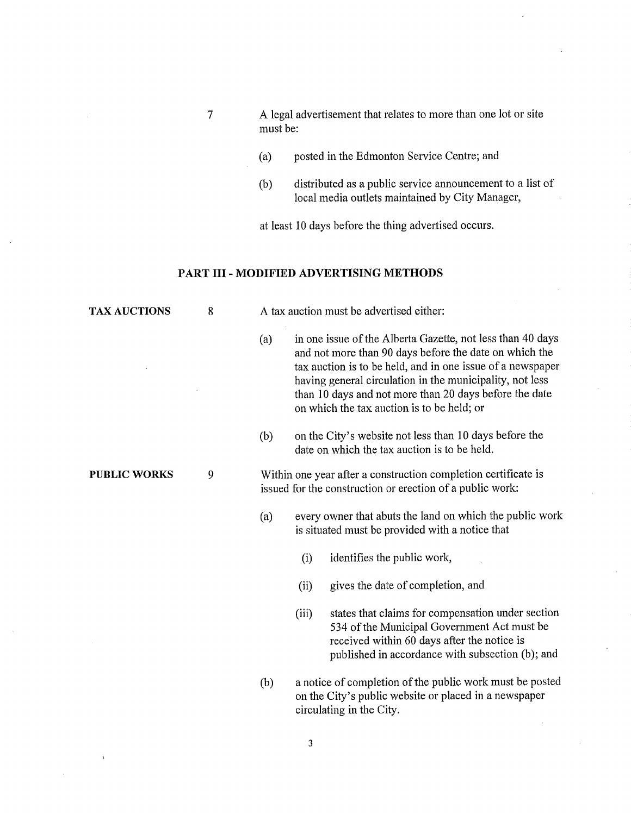- 7 A legal advertisement that relates to more than one lot or site must be:
	- (a) posted in the Edmonton Service Centre; and
	- (b) distributed as a public service announcement to a list of local media outlets maintained by City Manager,

at least 10 days before the thing advertised occurs.

## **PART III - MODIFIED ADVERTISING METHODS**

| <b>TAX AUCTIONS</b> | 8 | A tax auction must be advertised either: |                                                                                                                                                                                                                                                                                                                                                        |                                                                                                                                                                                                     |  |  |  |  |
|---------------------|---|------------------------------------------|--------------------------------------------------------------------------------------------------------------------------------------------------------------------------------------------------------------------------------------------------------------------------------------------------------------------------------------------------------|-----------------------------------------------------------------------------------------------------------------------------------------------------------------------------------------------------|--|--|--|--|
|                     |   | (a)                                      | in one issue of the Alberta Gazette, not less than 40 days<br>and not more than 90 days before the date on which the<br>tax auction is to be held, and in one issue of a newspaper<br>having general circulation in the municipality, not less<br>than 10 days and not more than 20 days before the date<br>on which the tax auction is to be held; or |                                                                                                                                                                                                     |  |  |  |  |
|                     |   | (b)                                      | on the City's website not less than 10 days before the<br>date on which the tax auction is to be held.                                                                                                                                                                                                                                                 |                                                                                                                                                                                                     |  |  |  |  |
| <b>PUBLIC WORKS</b> | 9 |                                          | Within one year after a construction completion certificate is<br>issued for the construction or erection of a public work:                                                                                                                                                                                                                            |                                                                                                                                                                                                     |  |  |  |  |
|                     |   | (a)                                      | every owner that abuts the land on which the public work<br>is situated must be provided with a notice that                                                                                                                                                                                                                                            |                                                                                                                                                                                                     |  |  |  |  |
|                     |   |                                          | (i)                                                                                                                                                                                                                                                                                                                                                    | identifies the public work,                                                                                                                                                                         |  |  |  |  |
|                     |   |                                          | (ii)                                                                                                                                                                                                                                                                                                                                                   | gives the date of completion, and                                                                                                                                                                   |  |  |  |  |
|                     |   |                                          | (iii)                                                                                                                                                                                                                                                                                                                                                  | states that claims for compensation under section<br>534 of the Municipal Government Act must be<br>received within 60 days after the notice is<br>published in accordance with subsection (b); and |  |  |  |  |
|                     |   | (b)                                      |                                                                                                                                                                                                                                                                                                                                                        | a notice of completion of the public work must be posted<br>on the City's public website or placed in a newspaper                                                                                   |  |  |  |  |

3

 $\mathbf{r}$ 

circulating in the City.